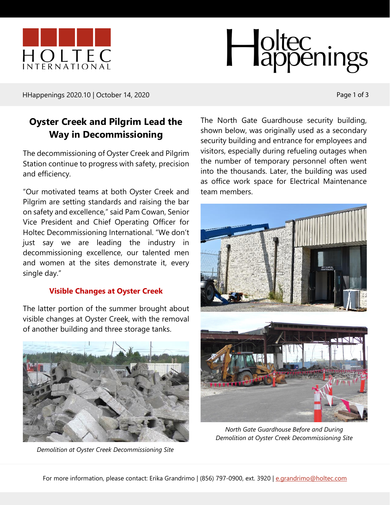



HHappenings 2020.10 | October 14, 2020 Page 1 of 3

# **Oyster Creek and Pilgrim Lead the Way in Decommissioning**

The decommissioning of Oyster Creek and Pilgrim Station continue to progress with safety, precision and efficiency.

"Our motivated teams at both Oyster Creek and Pilgrim are setting standards and raising the bar on safety and excellence," said Pam Cowan, Senior Vice President and Chief Operating Officer for Holtec Decommissioning International. "We don't just say we are leading the industry in decommissioning excellence, our talented men and women at the sites demonstrate it, every single day."

### **Visible Changes at Oyster Creek**

The latter portion of the summer brought about visible changes at Oyster Creek, with the removal of another building and three storage tanks.



*Demolition at Oyster Creek Decommissioning Site*

The North Gate Guardhouse security building, shown below, was originally used as a secondary security building and entrance for employees and visitors, especially during refueling outages when the number of temporary personnel often went into the thousands. Later, the building was used as office work space for Electrical Maintenance team members.



*North Gate Guardhouse Before and During Demolition at Oyster Creek Decommissioning Site*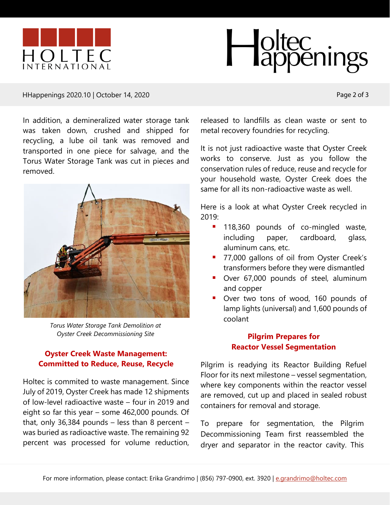



#### HHappenings 2020.10 | October 14, 2020 Page 2 of 3

In addition, a demineralized water storage tank was taken down, crushed and shipped for recycling, a lube oil tank was removed and transported in one piece for salvage, and the Torus Water Storage Tank was cut in pieces and removed.



*Torus Water Storage Tank Demolition at Oyster Creek Decommissioning Site*

### **Oyster Creek Waste Management: Committed to Reduce, Reuse, Recycle**

Holtec is commited to waste management. Since July of 2019, Oyster Creek has made 12 shipments of low-level radioactive waste – four in 2019 and eight so far this year – some 462,000 pounds. Of that, only 36,384 pounds  $-$  less than 8 percent  $$ was buried as radioactive waste. The remaining 92 percent was processed for volume reduction, released to landfills as clean waste or sent to metal recovery foundries for recycling.

It is not just radioactive waste that Oyster Creek works to conserve. Just as you follow the conservation rules of reduce, reuse and recycle for your household waste, Oyster Creek does the same for all its non-radioactive waste as well.

Here is a look at what Oyster Creek recycled in 2019:

- **118,360 pounds of co-mingled waste,** including paper, cardboard, glass, aluminum cans, etc.
- 77,000 gallons of oil from Oyster Creek's transformers before they were dismantled
- **•** Over 67,000 pounds of steel, aluminum and copper
- Over two tons of wood, 160 pounds of lamp lights (universal) and 1,600 pounds of coolant

# **Pilgrim Prepares for Reactor Vessel Segmentation**

Pilgrim is readying its Reactor Building Refuel Floor for its next milestone – vessel segmentation, where key components within the reactor vessel are removed, cut up and placed in sealed robust containers for removal and storage.

To prepare for segmentation, the Pilgrim Decommissioning Team first reassembled the dryer and separator in the reactor cavity. This